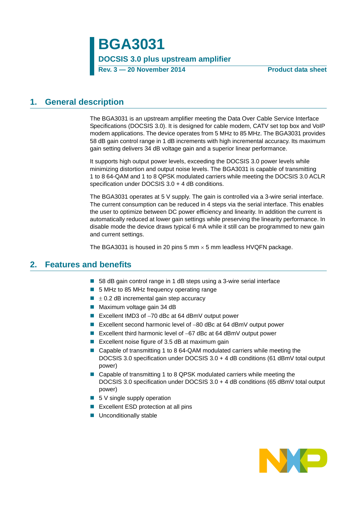**BGA3031 DOCSIS 3.0 plus upstream amplifier Rev. 3 — 20 November 2014 Product data sheet**

## <span id="page-0-0"></span>**1. General description**

The BGA3031 is an upstream amplifier meeting the Data Over Cable Service Interface Specifications (DOCSIS 3.0). It is designed for cable modem, CATV set top box and VoIP modem applications. The device operates from 5 MHz to 85 MHz. The BGA3031 provides 58 dB gain control range in 1 dB increments with high incremental accuracy. Its maximum gain setting delivers 34 dB voltage gain and a superior linear performance.

It supports high output power levels, exceeding the DOCSIS 3.0 power levels while minimizing distortion and output noise levels. The BGA3031 is capable of transmitting 1 to 8 64-QAM and 1 to 8 QPSK modulated carriers while meeting the DOCSIS 3.0 ACLR specification under DOCSIS 3.0 + 4 dB conditions.

The BGA3031 operates at 5 V supply. The gain is controlled via a 3-wire serial interface. The current consumption can be reduced in 4 steps via the serial interface. This enables the user to optimize between DC power efficiency and linearity. In addition the current is automatically reduced at lower gain settings while preserving the linearity performance. In disable mode the device draws typical 6 mA while it still can be programmed to new gain and current settings.

The BGA3031 is housed in 20 pins 5 mm  $\times$  5 mm leadless HVQFN package.

## <span id="page-0-1"></span>**2. Features and benefits**

- 58 dB gain control range in 1 dB steps using a 3-wire serial interface
- 5 MHz to 85 MHz frequency operating range
- $\blacksquare$   $\pm$  0.2 dB incremental gain step accuracy
- Maximum voltage gain 34 dB
- Excellent IMD3 of  $-70$  dBc at 64 dBmV output power
- Excellent second harmonic level of  $-80$  dBc at 64 dBmV output power
- Excellent third harmonic level of  $-67$  dBc at 64 dBmV output power
- Excellent noise figure of 3.5 dB at maximum gain
- Capable of transmitting 1 to 8 64-QAM modulated carriers while meeting the DOCSIS 3.0 specification under DOCSIS 3.0 + 4 dB conditions (61 dBmV total output power)
- Capable of transmitting 1 to 8 QPSK modulated carriers while meeting the DOCSIS 3.0 specification under DOCSIS 3.0 + 4 dB conditions (65 dBmV total output power)
- $\blacksquare$  5 V single supply operation
- Excellent ESD protection at all pins
- **Unconditionally stable**

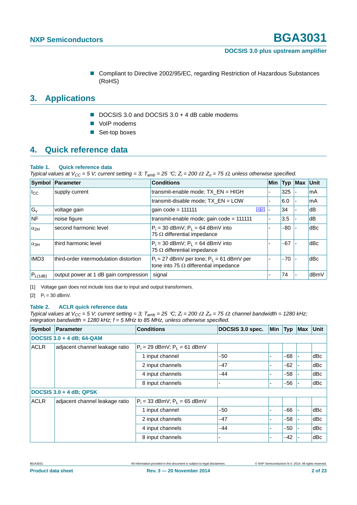■ Compliant to Directive 2002/95/EC, regarding Restriction of Hazardous Substances (RoHS)

# <span id="page-1-2"></span>**3. Applications**

- DOCSIS 3.0 and DOCSIS 3.0 + 4 dB cable modems
- VoIP modems
- Set-top boxes

## <span id="page-1-3"></span>**4. Quick reference data**

### **Table 1. Quick reference data**

*Typical values at*  $V_{CC}$  *= 5 V; current setting = 3;*  $T_{amb}$  *= 25 °C; Z<sub>i</sub> = 200*  $\Omega$ *: Z<sub>o</sub> = 75*  $\Omega$ *, unless otherwise specified.* 

|                  | Symbol Parameter                       | <b>Conditions</b>                                                                             | <b>Min</b> | <b>Typ</b> | Max | Unit |
|------------------|----------------------------------------|-----------------------------------------------------------------------------------------------|------------|------------|-----|------|
| $I_{\rm CC}$     | supply current                         | transmit-enable mode; $TX EN = HIGH$                                                          |            | 325        |     | mA   |
|                  |                                        | transmit-disable mode; TX_EN = LOW                                                            |            | 6.0        |     | mA   |
| $G_v$            | voltage gain                           | $[1][2]$<br>gain $code = 111111$                                                              |            | 34         |     | dB   |
| <b>NF</b>        | noise figure                           | transmit-enable mode; gain $code = 111111$                                                    |            | 3.5        |     | dB   |
| $\alpha_{2H}$    | second harmonic level                  | $P_i = 30$ dBmV; $P_L = 64$ dBmV into<br>75 $\Omega$ differential impedance                   |            | $-80$      |     | dBc  |
| $\alpha_{3H}$    | third harmonic level                   | $P_i = 30$ dBmV; $P_L = 64$ dBmV into<br>75 $\Omega$ differential impedance                   |            | $-67$      |     | dBc  |
| IMD <sub>3</sub> | third-order intermodulation distortion | $P_i = 27$ dBmV per tone; $P_i = 61$ dBmV per<br>tone into 75 $\Omega$ differential impedance |            | $-70$      |     | dBc  |
| $P_{L(1dB)}$     | output power at 1 dB gain compression  | signal                                                                                        |            | 74         |     | dBmV |

<span id="page-1-0"></span>[1] Voltage gain does not include loss due to input and output transformers.

<span id="page-1-1"></span>[2]  $P_i = 30$  dBmV.

### **Table 2. ACLR quick reference data**

*Typical values at V<sub>CC</sub> = 5 V; current setting = 3; T<sub>amb</sub> = 25 °C; Z<sub>i</sub> = 200*  $\Omega$ *: Z<sub>o</sub> = 75*  $\Omega$ *; channel bandwidth = 1280 kHz; integration bandwidth = 1280 kHz; f = 5 MHz to 85 MHz, unless otherwise specified.*

| <b>Symbol</b> | <b>Parameter</b>                 | <b>Conditions</b>                | DOCSIS 3.0 spec. | Min | <b>Typ</b> | Max | <b>Unit</b> |
|---------------|----------------------------------|----------------------------------|------------------|-----|------------|-----|-------------|
|               | <b>DOCSIS 3.0 + 4 dB; 64-QAM</b> |                                  |                  |     |            |     |             |
| <b>ACLR</b>   | adjacent channel leakage ratio   | $P_i = 29$ dBmV; $P_i = 61$ dBmV |                  |     |            |     |             |
|               |                                  | 1 input channel                  | -50              |     | -68        |     | dBc         |
|               |                                  | 2 input channels                 | -47              |     | -62        |     | dBc         |
|               |                                  | 4 input channels                 | $-44$            |     | $-58$      |     | dBc         |
|               |                                  | 8 input channels                 |                  |     | $-56$      |     | dBc         |
|               | <b>DOCSIS 3.0 + 4 dB; QPSK</b>   |                                  |                  |     |            |     |             |
| <b>ACLR</b>   | adjacent channel leakage ratio   | $P_i$ = 33 dBmV; $P_L$ = 65 dBmV |                  |     |            |     |             |
|               |                                  | 1 input channel                  | -50              |     | -66        |     | dBc         |
|               |                                  | 2 input channels                 | $-47$            |     | -58        |     | dBc         |
|               |                                  | 4 input channels                 | -44              |     | $-50$      |     | dBc         |
|               |                                  | 8 input channels                 |                  |     | $-42$      |     | dBc         |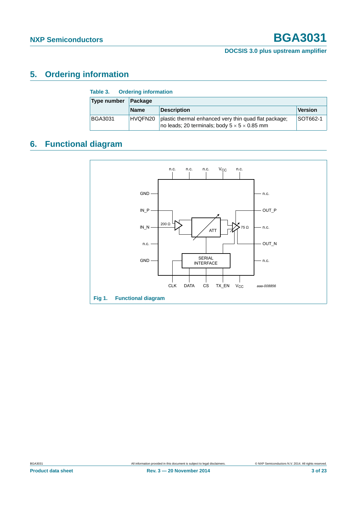# <span id="page-2-0"></span>**5. Ordering information**

| Table 3.<br><b>Ordering information</b> |             |                                                                                                                   |                |  |  |  |  |
|-----------------------------------------|-------------|-------------------------------------------------------------------------------------------------------------------|----------------|--|--|--|--|
| Type number<br>Package                  |             |                                                                                                                   |                |  |  |  |  |
|                                         | <b>Name</b> | <b>Description</b>                                                                                                | <b>Version</b> |  |  |  |  |
| <b>BGA3031</b>                          | HVQFN20     | plastic thermal enhanced very thin quad flat package;<br>no leads; 20 terminals; body $5 \times 5 \times 0.85$ mm | SOT662-1       |  |  |  |  |

# <span id="page-2-1"></span>**6. Functional diagram**

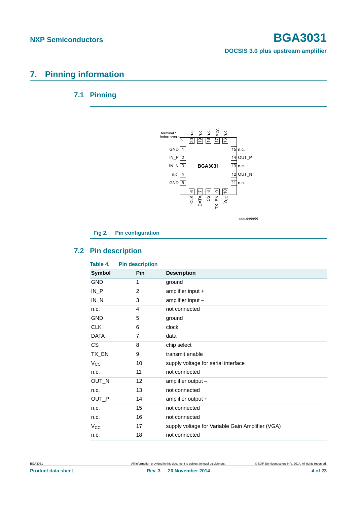# <span id="page-3-1"></span><span id="page-3-0"></span>**7. Pinning information**

# **7.1 Pinning**



### <span id="page-3-2"></span>**7.2 Pin description**

| <b>Pin description</b><br>Table 4. |                |                                                  |  |  |  |  |
|------------------------------------|----------------|--------------------------------------------------|--|--|--|--|
| <b>Symbol</b>                      | Pin            | <b>Description</b>                               |  |  |  |  |
| <b>GND</b>                         | 1              | ground                                           |  |  |  |  |
| $IN_P$                             | $\overline{2}$ | amplifier input +                                |  |  |  |  |
| $IN_N$                             | 3              | amplifier input -                                |  |  |  |  |
| n.c.                               | 4              | not connected                                    |  |  |  |  |
| GND                                | 5              | ground                                           |  |  |  |  |
| CLK                                | 6              | clock                                            |  |  |  |  |
| <b>DATA</b>                        | 7              | data                                             |  |  |  |  |
| CS                                 | 8              | chip select                                      |  |  |  |  |
| TX_EN                              | 9              | transmit enable                                  |  |  |  |  |
| $V_{\rm CC}$                       | 10             | supply voltage for serial interface              |  |  |  |  |
| n.c.                               | 11             | not connected                                    |  |  |  |  |
| OUT_N                              | 12             | amplifier output -                               |  |  |  |  |
| n.c.                               | 13             | not connected                                    |  |  |  |  |
| OUT_P                              | 14             | amplifier output +                               |  |  |  |  |
| n.c.                               | 15             | not connected                                    |  |  |  |  |
| n.c.                               | 16             | not connected                                    |  |  |  |  |
| $V_{\rm CC}$                       | 17             | supply voltage for Variable Gain Amplifier (VGA) |  |  |  |  |
| n.c.                               | 18             | not connected                                    |  |  |  |  |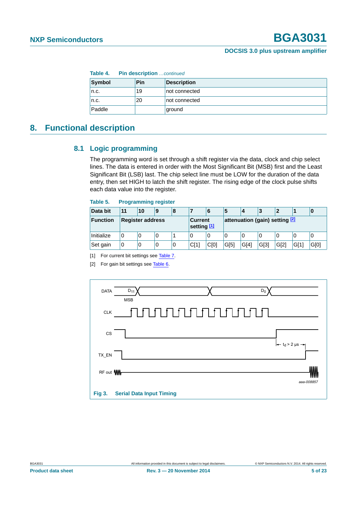| <b>Pin description</b> continued<br>Table 4. |     |                    |  |  |  |
|----------------------------------------------|-----|--------------------|--|--|--|
| Symbol                                       | Pin | <b>Description</b> |  |  |  |
| n.c.                                         | 19  | not connected      |  |  |  |
| n.c.                                         | 20  | not connected      |  |  |  |
| Paddle                                       |     | ground             |  |  |  |

# <span id="page-4-3"></span><span id="page-4-2"></span>**8. Functional description**

### **8.1 Logic programming**

The programming word is set through a shift register via the data, clock and chip select lines. The data is entered in order with the Most Significant Bit (MSB) first and the Least Significant Bit (LSB) last. The chip select line must be LOW for the duration of the data entry, then set HIGH to latch the shift register. The rising edge of the clock pulse shifts each data value into the register.

### **Table 5. Programming register**

| Data bit   | 11                      | 10 | 9                      | 8 |                                |      | 5    | 4    | 3    |      |       | 0    |
|------------|-------------------------|----|------------------------|---|--------------------------------|------|------|------|------|------|-------|------|
| Function   | <b>Register address</b> |    | Current<br>setting [1] |   | attenuation (gain) setting [2] |      |      |      |      |      |       |      |
| Initialize | 0                       | 0  | 0                      |   | 0                              | 0    | 0    | 0    | 0    | O    | 0     | 0    |
| Set gain   | 0                       | υ  | 0                      | 0 | CI1                            | C[0] | G[5] | G[4] | G[3] | G[2] | ,G[11 | G[0] |

<span id="page-4-0"></span>[1] For current bit settings see [Table 7.](#page-5-0)

<span id="page-4-1"></span>[2] For gain bit settings see [Table 6.](#page-5-1)

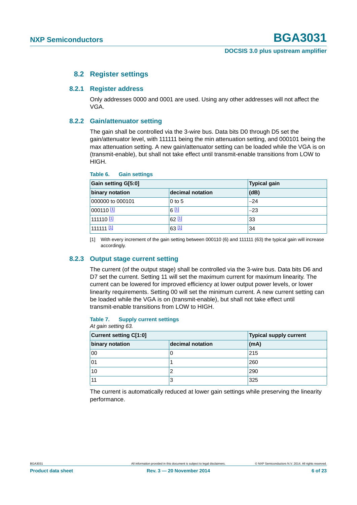### **8.2 Register settings**

### <span id="page-5-4"></span><span id="page-5-3"></span>**8.2.1 Register address**

Only addresses 0000 and 0001 are used. Using any other addresses will not affect the VGA.

### <span id="page-5-5"></span>**8.2.2 Gain/attenuator setting**

The gain shall be controlled via the 3-wire bus. Data bits D0 through D5 set the gain/attenuator level, with 111111 being the min attenuation setting, and 000101 being the max attenuation setting. A new gain/attenuator setting can be loaded while the VGA is on (transmit-enable), but shall not take effect until transmit-enable transitions from LOW to HIGH.

| <b>Gain setting G[5:0]</b> | <b>Typical gain</b> |       |  |
|----------------------------|---------------------|-------|--|
| binary notation            | decimal notation    | (dB)  |  |
| 000000 to 000101           | $0$ to 5            | $-24$ |  |
| 000110 <sup>[1]</sup>      | 6[1]                | $-23$ |  |
| 111110 <u>[1</u> ]         | $62$ [1]            | 33    |  |
| 111111 [ <u>1]</u>         | $63$ [1]            | 34    |  |

### <span id="page-5-1"></span>**Table 6. Gain settings**

<span id="page-5-2"></span>[1] With every increment of the gain setting between 000110 (6) and 111111 (63) the typical gain will increase accordingly.

### <span id="page-5-6"></span>**8.2.3 Output stage current setting**

The current (of the output stage) shall be controlled via the 3-wire bus. Data bits D6 and D7 set the current. Setting 11 will set the maximum current for maximum linearity. The current can be lowered for improved efficiency at lower output power levels, or lower linearity requirements. Setting 00 will set the minimum current. A new current setting can be loaded while the VGA is on (transmit-enable), but shall not take effect until transmit-enable transitions from LOW to HIGH.

### <span id="page-5-0"></span>**Table 7. Supply current settings** *At gain setting 63.*

| $, u, g$ am oo $, m, g, o, o$ |                               |  |  |  |  |  |
|-------------------------------|-------------------------------|--|--|--|--|--|
|                               | <b>Typical supply current</b> |  |  |  |  |  |
| decimal notation              | (mA)                          |  |  |  |  |  |
|                               | 215                           |  |  |  |  |  |
|                               | 260                           |  |  |  |  |  |
|                               | 290                           |  |  |  |  |  |
| 3                             | 325                           |  |  |  |  |  |
|                               |                               |  |  |  |  |  |

The current is automatically reduced at lower gain settings while preserving the linearity performance.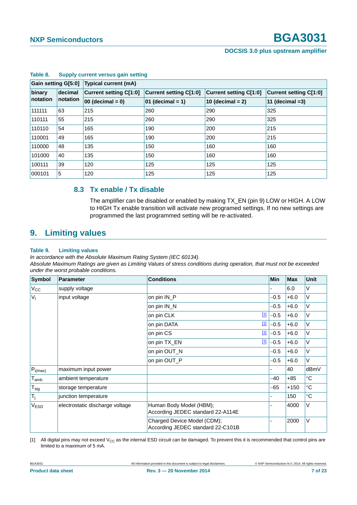| Gain setting G[5:0] |          | <b>Typical current (mA)</b>   |                               |                        |                               |  |  |  |
|---------------------|----------|-------------------------------|-------------------------------|------------------------|-------------------------------|--|--|--|
| binary<br>decimal   |          | <b>Current setting C[1:0]</b> | <b>Current setting C[1:0]</b> | Current setting C[1:0] | <b>Current setting C[1:0]</b> |  |  |  |
| notation            | notation | $00$ (decimal = 0)            | 01 (decimal = 1)              | 10 (decimal $= 2$ )    | 11 (decimal $=3$ )            |  |  |  |
| 111111              | 63       | 215                           | 260                           | 290                    | 325                           |  |  |  |
| 110111              | 55       | 215                           | 260                           | 290                    | 325                           |  |  |  |
| 110110              | 54       | 165                           | 190                           | 200                    | 215                           |  |  |  |
| 110001              | 49       | 165                           | 190                           | 200                    | 215                           |  |  |  |
| 110000              | 48       | 135                           | 150                           | 160                    | 160                           |  |  |  |
| 101000              | 40       | 135                           | 150                           | 160                    | 160                           |  |  |  |
| 100111              | 39       | 120                           | 125                           | 125                    | 125                           |  |  |  |
| 000101              | 5        | 120                           | 125                           | 125                    | 125                           |  |  |  |

### **Table 8. Supply current versus gain setting**

### <span id="page-6-2"></span>**8.3 Tx enable / Tx disable**

The amplifier can be disabled or enabled by making TX\_EN (pin 9) LOW or HIGH. A LOW to HIGH Tx enable transition will activate new programed settings. If no new settings are programmed the last programmed setting will be re-activated.

## <span id="page-6-3"></span>**9. Limiting values**

### <span id="page-6-1"></span>**Table 9. Limiting values**

*In accordance with the Absolute Maximum Rating System (IEC 60134).*

*Absolute Maximum Ratings are given as Limiting Values of stress conditions during operation, that must not be exceeded under the worst probable conditions.*

| <b>Symbol</b>               | Parameter                       | <b>Conditions</b>                                                |             | <b>Min</b> | <b>Max</b> | <b>Unit</b>     |
|-----------------------------|---------------------------------|------------------------------------------------------------------|-------------|------------|------------|-----------------|
| $V_{\rm CC}$                | supply voltage                  |                                                                  |             |            | 6.0        | ٧               |
| V <sub>1</sub>              | input voltage                   | on pin IN_P                                                      |             | $-0.5$     | $+6.0$     | V               |
|                             |                                 | on pin IN_N                                                      |             | $-0.5$     | $+6.0$     | $\vee$          |
|                             |                                 | on pin CLK                                                       | $\boxed{1}$ | $-0.5$     | $+6.0$     | V               |
|                             |                                 | on pin DATA                                                      | $\boxed{1}$ | $-0.5$     | $+6.0$     | V               |
|                             |                                 | on pin CS                                                        | $\boxed{1}$ | $-0.5$     | $+6.0$     | $\vee$          |
|                             |                                 | on pin TX_EN                                                     | $\boxed{1}$ | $-0.5$     | $+6.0$     | V               |
|                             |                                 | on pin OUT_N                                                     |             | $-0.5$     | $+6.0$     | V               |
|                             |                                 | on pin OUT_P                                                     |             | $-0.5$     | $+6.0$     | V               |
| $P_{i(max)}$                | maximum input power             |                                                                  |             |            | 40         | dBmV            |
| $\mathsf{T}_{\mathsf{amb}}$ | ambient temperature             |                                                                  |             | -40        | $+85$      | $\rm ^{\circ}C$ |
| $\mathsf{T}_{\text{stg}}$   | storage temperature             |                                                                  |             | -65        | $+150$     | $\rm ^{\circ}C$ |
| $T_j$                       | junction temperature            |                                                                  |             |            | 150        | $^{\circ}C$     |
| V <sub>ESD</sub>            | electrostatic discharge voltage | Human Body Model (HBM);<br>According JEDEC standard 22-A114E     |             |            | 4000       | V               |
|                             |                                 | Charged Device Model (CDM);<br>According JEDEC standard 22-C101B |             |            | 2000       | V               |

<span id="page-6-0"></span>[1] All digital pins may not exceed  $V_{CC}$  as the internal ESD circuit can be damaged. To prevent this it is recommended that control pins are limited to a maximum of 5 mA.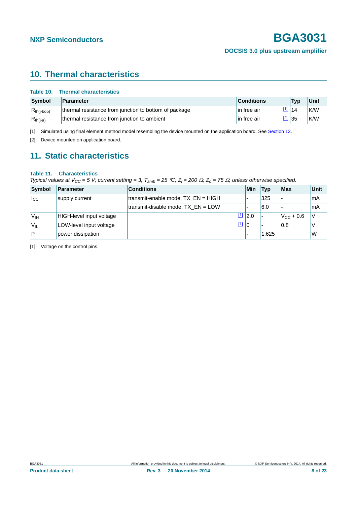# <span id="page-7-3"></span>**10. Thermal characteristics**

| Table 10. | <b>Thermal characteristics</b> |
|-----------|--------------------------------|
|           |                                |

| Symbol          | <b>Parameter</b>                                      | <b>Conditions</b> | <b>Tvp</b> | Unit       |
|-----------------|-------------------------------------------------------|-------------------|------------|------------|
| $R_{th(i-bop)}$ | thermal resistance from junction to bottom of package | lin free air      | 14         | K/W        |
| $R_{th(j-a)}$   | thermal resistance from junction to ambient           | lin free air      | 35         | <b>K/W</b> |

<span id="page-7-0"></span>[1] Simulated using final element method model resembling the device mounted on the application board. See [Section 13.](#page-10-0)

<span id="page-7-1"></span>[2] Device mounted on application board.

# <span id="page-7-4"></span>**11. Static characteristics**

### **Table 11. Characteristics**

*Typical values at*  $V_{CC}$  *= 5 V; current setting = 3; T<sub>amb</sub> = 25 °C; Z<sub>i</sub> = 200*  $\Omega$ *; Z<sub>o</sub> = 75*  $\Omega$ *, unless otherwise specified.* 

| Symbol           | <b>Parameter</b>         | <b>Conditions</b>                    | Min             | Typ   | Max                | Unit |
|------------------|--------------------------|--------------------------------------|-----------------|-------|--------------------|------|
| $I_{\rm CC}$     | supply current           | transmit-enable mode; $TX EN = HIGH$ |                 | 325   | -                  | mA   |
|                  |                          | transmit-disable mode; $TX EN = LOW$ |                 | 6.0   |                    | mA   |
| V <sub>IH</sub>  | HIGH-level input voltage |                                      | $\frac{11}{20}$ |       | $V_{\rm CC}$ + 0.6 | . V  |
| 'V <sub>IL</sub> | LOW-level input voltage  | [1]  0                               |                 |       | 10.8               |      |
| $\overline{P}$   | power dissipation        |                                      |                 | 1.625 |                    | W    |

<span id="page-7-2"></span>[1] Voltage on the control pins.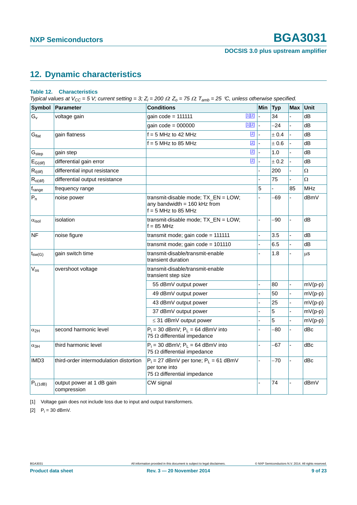# <span id="page-8-2"></span>**12. Dynamic characteristics**

### **Table 12. Characteristics**

*Typical values at*  $V_{CC}$  *= 5 V; current setting = 3; Z<sub>i</sub> = 200*  $\Omega$ *: Z<sub>o</sub> = 75*  $\Omega$ *; T<sub>amb</sub> = 25 °C, unless otherwise specified.* 

|                        | Symbol Parameter                         | <b>Conditions</b>                                                                                |          | Min            | <b>Typ</b> | <b>Max</b> | Unit       |
|------------------------|------------------------------------------|--------------------------------------------------------------------------------------------------|----------|----------------|------------|------------|------------|
| $G_{V}$                | voltage gain                             | gain $code = 111111$                                                                             | $[1][2]$ |                | 34         |            | dB         |
|                        |                                          | gain $code = 000000$                                                                             | $[1][2]$ |                | $-24$      |            | dB         |
| Gflat                  | gain flatness                            | $f = 5$ MHz to 42 MHz                                                                            | $[2]$    | $\overline{a}$ | ± 0.4      | L,         | dB         |
|                        |                                          | $f = 5$ MHz to 85 MHz                                                                            | $[2]$    |                | ± 0.6      |            | dB         |
| G <sub>step</sub>      | gain step                                |                                                                                                  | $[2]$    |                | 1.0        | L,         | dB         |
| $E_{G(dif)}$           | differential gain error                  |                                                                                                  | $[2]$    |                | ± 0.2      | L.         | dВ         |
| $R_{i(dif)}$           | differential input resistance            |                                                                                                  |          |                | 200        |            | Ω          |
| $R_{o$ (dif)           | differential output resistance           |                                                                                                  |          |                | 75         |            | $\Omega$   |
| $f_{range}$            | frequency range                          |                                                                                                  |          | 5              |            | 85         | <b>MHz</b> |
| $P_n$                  | noise power                              | transmit-disable mode; TX_EN = LOW;<br>any bandwidth = $160$ kHz from<br>$f = 5$ MHz to 85 MHz   |          |                | -69        |            | dBmV       |
| $\alpha_{\text{isol}}$ | isolation                                | transmit-disable mode; TX_EN = LOW;<br>$f = 85$ MHz                                              |          |                | -90        |            | dB         |
| <b>NF</b>              | noise figure                             | transmit mode; gain code = 111111                                                                |          |                | 3.5        |            | dB         |
|                        |                                          | transmit mode; gain $code = 101110$                                                              |          |                | 6.5        |            | dB         |
| $t_{\text{SW}}(G)$     | gain switch time                         | transmit-disable/transmit-enable<br>transient duration                                           |          |                | 1.8        |            | μS         |
| $V_{os}$               | overshoot voltage                        | transmit-disable/transmit-enable<br>transient step size                                          |          |                |            |            |            |
|                        |                                          | 55 dBmV output power                                                                             |          |                | 80         |            | $mV(p-p)$  |
|                        |                                          | 49 dBmV output power                                                                             |          |                | 50         |            | $mV(p-p)$  |
|                        |                                          | 43 dBmV output power                                                                             |          |                | 25         |            | $mV(p-p)$  |
|                        |                                          | 37 dBmV output power                                                                             |          |                | 5          |            | $mV(p-p)$  |
|                        |                                          | $\leq$ 31 dBmV output power                                                                      |          |                | 5          |            | $mV(p-p)$  |
| $\alpha_{2H}$          | second harmonic level                    | $P_i = 30$ dBmV; $P_L = 64$ dBmV into<br>75 $\Omega$ differential impedance                      |          |                | -80        |            | dBc        |
| $\alpha_{3H}$          | third harmonic level                     | $P_i = 30$ dBmV; $P_L = 64$ dBmV into<br>75 $\Omega$ differential impedance                      |          |                | $-67$      |            | dBc        |
| IMD <sub>3</sub>       | third-order intermodulation distortion   | $P_i = 27$ dBmV per tone; $P_L = 61$ dBmV<br>per tone into<br>75 $\Omega$ differential impedance |          |                | $-70$      |            | dBc        |
| $P_{L(1dB)}$           | output power at 1 dB gain<br>compression | CW signal                                                                                        |          |                | 74         |            | dBmV       |

<span id="page-8-1"></span>[1] Voltage gain does not include loss due to input and output transformers.

<span id="page-8-0"></span>[2]  $P_i = 30$  dBmV.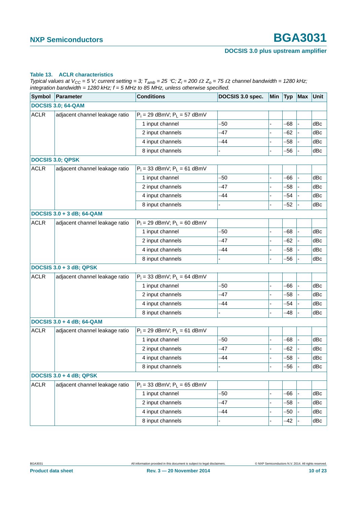### **Table 13. ACLR characteristics**

*Typical values at*  $V_{CC}$  *= 5 V; current setting = 3; T<sub>amb</sub> = 25 °C; Z<sub>i</sub> = 200*  $\Omega$ *: Z<sub>o</sub> = 75*  $\Omega$ *; channel bandwidth = 1280 kHz; integration bandwidth = 1280 kHz; f = 5 MHz to 85 MHz, unless otherwise specified.*

| Symbol      | Parameter                      | <b>Conditions</b>                | DOCSIS 3.0 spec. | Min | <b>Typ</b> | <b>Max</b> | Unit |
|-------------|--------------------------------|----------------------------------|------------------|-----|------------|------------|------|
|             | <b>DOCSIS 3.0; 64-QAM</b>      |                                  |                  |     |            |            |      |
| <b>ACLR</b> | adjacent channel leakage ratio | $P_i = 29$ dBmV; $P_L = 57$ dBmV |                  |     |            |            |      |
|             |                                | 1 input channel                  | -50              |     | -68        |            | dBc  |
|             |                                | 2 input channels                 | -47              |     | -62        |            | dBc  |
|             |                                | 4 input channels                 | -44              |     | -58        |            | dBc  |
|             | 8 input channels               |                                  |                  | -56 |            | dBc        |      |
|             | <b>DOCSIS 3.0; QPSK</b>        |                                  |                  |     |            |            |      |
| <b>ACLR</b> | adjacent channel leakage ratio | $P_i = 33$ dBmV; $P_L = 61$ dBmV |                  |     |            |            |      |
|             |                                | 1 input channel                  | -50              |     | -66        |            | dBc  |
|             |                                | 2 input channels                 | -47              |     | -58        |            | dBc  |
|             |                                | 4 input channels                 | -44              |     | -54        |            | dBc  |
|             |                                | 8 input channels                 |                  |     | -52        |            | dBc  |
|             | DOCSIS 3.0 + 3 dB; 64-QAM      |                                  |                  |     |            |            |      |
| <b>ACLR</b> | adjacent channel leakage ratio | $P_i = 29$ dBmV; $P_L = 60$ dBmV |                  |     |            |            |      |
|             |                                | 1 input channel                  | -50              |     | -68        |            | dBc  |
|             |                                | 2 input channels                 | -47              |     | -62        |            | dBc  |
|             |                                | 4 input channels                 | -44              |     | -58        |            | dBc  |
|             | 8 input channels               |                                  |                  | -56 |            | dBc        |      |
|             | <b>DOCSIS 3.0 + 3 dB; QPSK</b> |                                  |                  |     |            |            |      |
| <b>ACLR</b> | adjacent channel leakage ratio | $P_i = 33$ dBmV; $P_L = 64$ dBmV |                  |     |            |            |      |
|             |                                | 1 input channel                  | -50              |     | -66        |            | dBc  |
|             |                                | 2 input channels                 | -47              |     | -58        |            | dBc  |
|             |                                | 4 input channels                 | -44              |     | -54        |            | dBc  |
|             |                                | 8 input channels                 |                  |     | -48        |            | dBc  |
|             | DOCSIS 3.0 + 4 dB; 64-QAM      |                                  |                  |     |            |            |      |
| <b>ACLR</b> | adjacent channel leakage ratio | $P_i = 29$ dBmV; $P_L = 61$ dBmV |                  |     |            |            |      |
|             |                                | 1 input channel                  | -50              |     | -68        |            | dBc  |
|             |                                | 2 input channels                 | -47              |     | -62        |            | dBc  |
|             |                                | 4 input channels                 | -44              |     | $-58$      |            | dBc  |
|             |                                | 8 input channels                 |                  |     | -56        |            | dBc  |
|             | <b>DOCSIS 3.0 + 4 dB; QPSK</b> |                                  |                  |     |            |            |      |
| <b>ACLR</b> | adjacent channel leakage ratio | $P_i = 33$ dBmV; $P_L = 65$ dBmV |                  |     |            |            |      |
|             |                                | 1 input channel                  | -50              |     | -66        |            | dBc  |
|             |                                | 2 input channels                 | -47              |     | $-58$      |            | dBc  |
|             |                                | 4 input channels                 | -44              |     | -50        |            | dBc  |
|             |                                | 8 input channels                 |                  |     | -42        |            | dBc  |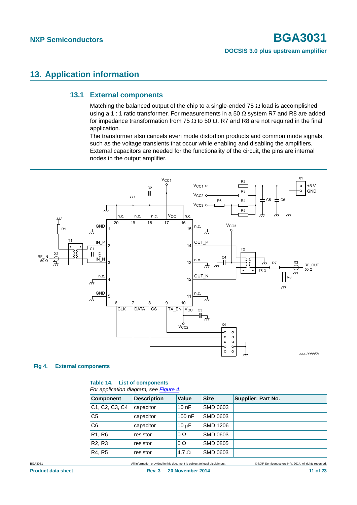# <span id="page-10-2"></span><span id="page-10-0"></span>**13. Application information**

### **13.1 External components**

Matching the balanced output of the chip to a single-ended 75  $\Omega$  load is accomplished using a 1 : 1 ratio transformer. For measurements in a 50  $\Omega$  system R7 and R8 are added for impedance transformation from 75  $\Omega$  to 50  $\Omega$ . R7 and R8 are not required in the final application.

The transformer also cancels even mode distortion products and common mode signals, such as the voltage transients that occur while enabling and disabling the amplifiers. External capacitors are needed for the functionality of the circuit, the pins are internal nodes in the output amplifier.



### <span id="page-10-1"></span>**Table 14. List of components** *For application diagram, see [Figure 4.](#page-10-1)*

| <b>Component</b>                | <b>Description</b> | Value        | <b>Size</b>     | Supplier: Part No. |
|---------------------------------|--------------------|--------------|-----------------|--------------------|
| C1, C2, C3, C4                  | capacitor          | 10nF         | SMD 0603        |                    |
| C <sub>5</sub>                  | capacitor          | $100$ nF     | SMD 0603        |                    |
| C <sub>6</sub>                  | capacitor          | $10 \mu F$   | <b>SMD 1206</b> |                    |
| R <sub>1</sub> , R <sub>6</sub> | resistor           | $0\Omega$    | SMD 0603        |                    |
| R <sub>2</sub> , R <sub>3</sub> | resistor           | $0\Omega$    | <b>SMD 0805</b> |                    |
| R4, R5                          | resistor           | 4.7 $\Omega$ | SMD 0603        |                    |

BGA3031 All information provided in this document is subject to legal disclaimers. © NXP Semiconductors N.V. 2014. All rights reserved.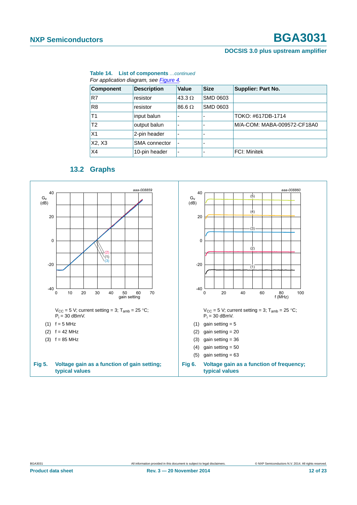### **Table 14. List of components** *…continued*

| <b>Component</b> | <b>Description</b> | Value         | <b>Size</b>     | <b>Supplier: Part No.</b>   |
|------------------|--------------------|---------------|-----------------|-----------------------------|
| R7               | resistor           | 43.3 $\Omega$ | <b>SMD 0603</b> |                             |
| R <sub>8</sub>   | resistor           | $86.6 \Omega$ | SMD 0603        |                             |
| T <sub>1</sub>   | input balun        |               |                 | TOKO: #617DB-1714           |
| T <sub>2</sub>   | output balun       |               |                 | M/A-COM: MABA-009572-CF18A0 |
| X <sub>1</sub>   | 2-pin header       |               |                 |                             |
| X2, X3           | SMA connector      |               |                 |                             |
| X4               | 10-pin header      |               |                 | <b>FCI: Minitek</b>         |

## **13.2 Graphs**

<span id="page-11-0"></span>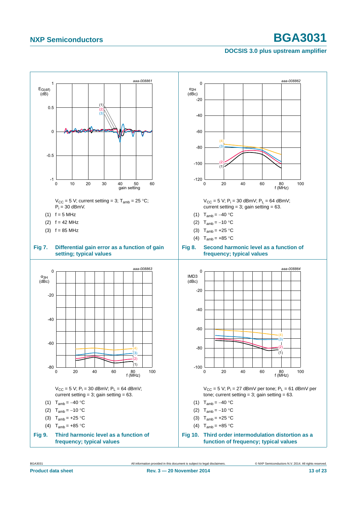### <span id="page-12-0"></span>**DOCSIS 3.0 plus upstream amplifier**



<span id="page-12-2"></span><span id="page-12-1"></span>BGA3031 All information provided in this document is subject to legal disclaimers. © NXP Semiconductors N.V. 2014. All rights reserved.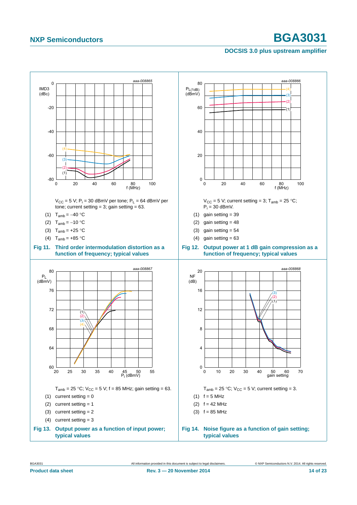<span id="page-13-0"></span>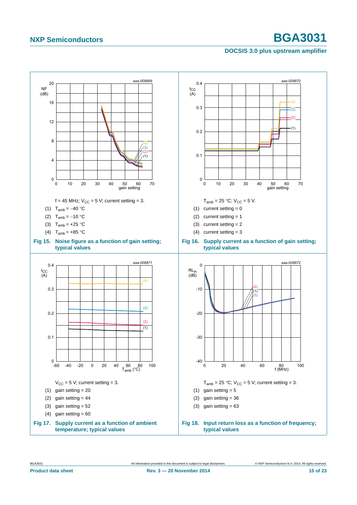### **DOCSIS 3.0 plus upstream amplifier**

<span id="page-14-0"></span>

<span id="page-14-1"></span>BGA3031 All information provided in this document is subject to legal disclaimers. © NXP Semiconductors N.V. 2014. All rights reserved.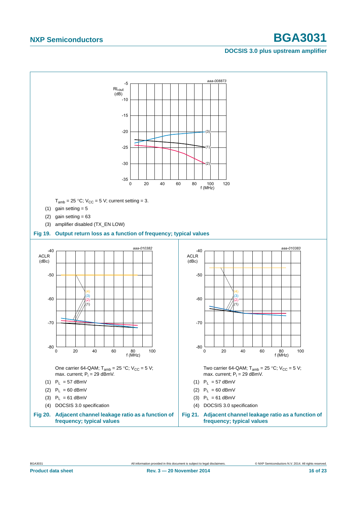![](_page_15_Figure_3.jpeg)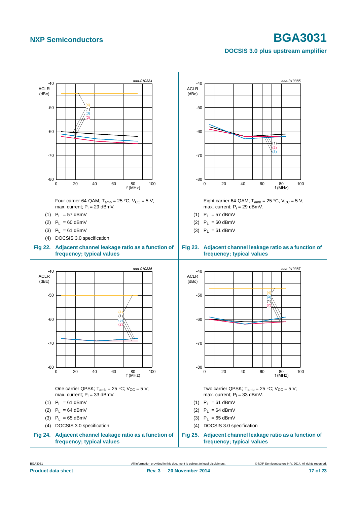![](_page_16_Figure_3.jpeg)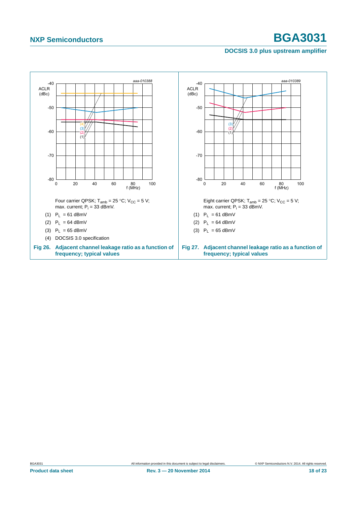![](_page_17_Figure_3.jpeg)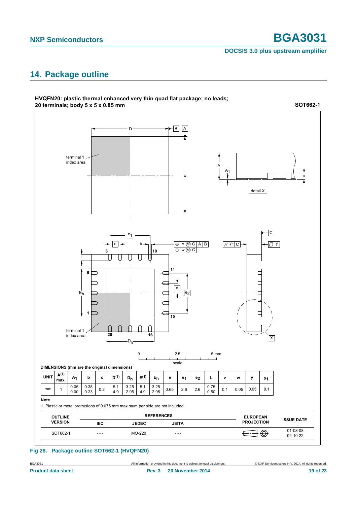# <span id="page-18-0"></span>**14. Package outline**

![](_page_18_Figure_4.jpeg)

### **HVQFN20:** plastic thermal enhanced very thin quad flat package; no leads; 20 terminals; body 5 x 5 x 0.85 mm

**Fig 28. Package outline SOT662-1 (HVQFN20)**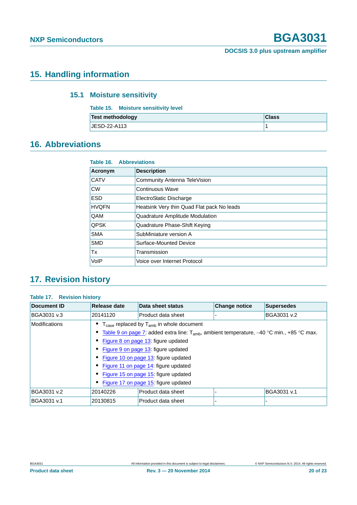# <span id="page-19-1"></span><span id="page-19-0"></span>**15. Handling information**

## **15.1 Moisture sensitivity**

| Table 15. Moisture sensitivity level |              |
|--------------------------------------|--------------|
| <b>Test methodology</b>              | <b>Class</b> |
| <b>JESD-22-A113</b>                  |              |

# <span id="page-19-2"></span>**16. Abbreviations**

| <b>Table 16. Abbreviations</b> |                                            |  |  |  |  |
|--------------------------------|--------------------------------------------|--|--|--|--|
| Acronym                        | <b>Description</b>                         |  |  |  |  |
| <b>CATV</b>                    | Community Antenna TeleVision               |  |  |  |  |
| <b>CW</b>                      | Continuous Wave                            |  |  |  |  |
| <b>ESD</b>                     | ElectroStatic Discharge                    |  |  |  |  |
| <b>HVQFN</b>                   | Heatsink Very thin Quad Flat pack No leads |  |  |  |  |
| QAM                            | Quadrature Amplitude Modulation            |  |  |  |  |
| <b>QPSK</b>                    | Quadrature Phase-Shift Keying              |  |  |  |  |
| <b>SMA</b>                     | SubMiniature version A                     |  |  |  |  |
| <b>SMD</b>                     | Surface-Mounted Device                     |  |  |  |  |
| Tx                             | Transmission                               |  |  |  |  |
| VoIP                           | Voice over Internet Protocol               |  |  |  |  |

# <span id="page-19-3"></span>**17. Revision history**

### **Table 17. Revision history**

| Document ID   | Release date | Data sheet status                                                                                                                                                                                                                                                                                                                                                                                                | <b>Change notice</b> | <b>Supersedes</b> |
|---------------|--------------|------------------------------------------------------------------------------------------------------------------------------------------------------------------------------------------------------------------------------------------------------------------------------------------------------------------------------------------------------------------------------------------------------------------|----------------------|-------------------|
| BGA3031 v.3   | 20141120     | Product data sheet                                                                                                                                                                                                                                                                                                                                                                                               |                      | BGA3031 v.2       |
| Modifications |              | $T_{\text{case}}$ replaced by $T_{\text{amb}}$ in whole document<br>Table 9 on page 7: added extra line: $T_{amb}$ , ambient temperature, -40 °C min., +85 °C max.<br>Figure 8 on page 13: figure updated<br>Figure 9 on page 13: figure updated<br>Figure 10 on page 13: figure updated<br>Figure 11 on page 14: figure updated<br>Figure 15 on page 15: figure updated<br>Figure 17 on page 15: figure updated |                      |                   |
| BGA3031 v.2   | 20140226     | Product data sheet                                                                                                                                                                                                                                                                                                                                                                                               |                      | BGA3031 v.1       |
| BGA3031 v.1   | 20130815     | Product data sheet                                                                                                                                                                                                                                                                                                                                                                                               |                      |                   |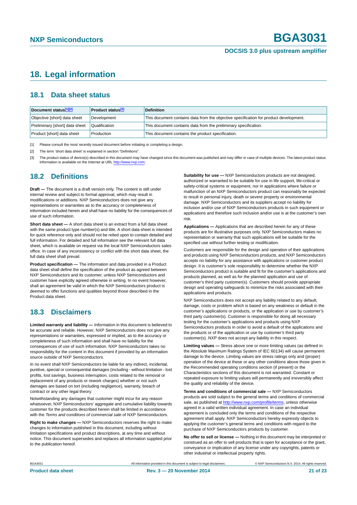# <span id="page-20-3"></span>**18. Legal information**

### <span id="page-20-4"></span>**18.1 Data sheet status**

| Document status[1][2]          | <b>Product status</b> <sup>[3]</sup> | <b>Definition</b>                                                                     |
|--------------------------------|--------------------------------------|---------------------------------------------------------------------------------------|
| Objective [short] data sheet   | Development                          | This document contains data from the objective specification for product development. |
| Preliminary [short] data sheet | Qualification                        | This document contains data from the preliminary specification.                       |
| Product [short] data sheet     | Production                           | This document contains the product specification.                                     |

<span id="page-20-0"></span>[1] Please consult the most recently issued document before initiating or completing a design.

<span id="page-20-1"></span>[2] The term 'short data sheet' is explained in section "Definitions".

<span id="page-20-2"></span>[3] The product status of device(s) described in this document may have changed since this document was published and may differ in case of multiple devices. The latest product status<br>information is available on the Intern

### <span id="page-20-5"></span>**18.2 Definitions**

**Draft —** The document is a draft version only. The content is still under internal review and subject to formal approval, which may result in modifications or additions. NXP Semiconductors does not give any representations or warranties as to the accuracy or completeness of information included herein and shall have no liability for the consequences of use of such information.

**Short data sheet —** A short data sheet is an extract from a full data sheet with the same product type number(s) and title. A short data sheet is intended for quick reference only and should not be relied upon to contain detailed and full information. For detailed and full information see the relevant full data sheet, which is available on request via the local NXP Semiconductors sales office. In case of any inconsistency or conflict with the short data sheet, the full data sheet shall prevail.

**Product specification —** The information and data provided in a Product data sheet shall define the specification of the product as agreed between NXP Semiconductors and its customer, unless NXP Semiconductors and customer have explicitly agreed otherwise in writing. In no event however, shall an agreement be valid in which the NXP Semiconductors product is deemed to offer functions and qualities beyond those described in the Product data sheet.

### <span id="page-20-6"></span>**18.3 Disclaimers**

**Limited warranty and liability —** Information in this document is believed to be accurate and reliable. However, NXP Semiconductors does not give any representations or warranties, expressed or implied, as to the accuracy or completeness of such information and shall have no liability for the consequences of use of such information. NXP Semiconductors takes no responsibility for the content in this document if provided by an information source outside of NXP Semiconductors.

In no event shall NXP Semiconductors be liable for any indirect, incidental, punitive, special or consequential damages (including - without limitation - lost profits, lost savings, business interruption, costs related to the removal or replacement of any products or rework charges) whether or not such damages are based on tort (including negligence), warranty, breach of contract or any other legal theory.

Notwithstanding any damages that customer might incur for any reason whatsoever, NXP Semiconductors' aggregate and cumulative liability towards customer for the products described herein shall be limited in accordance with the *Terms and conditions of commercial sale* of NXP Semiconductors.

**Right to make changes —** NXP Semiconductors reserves the right to make changes to information published in this document, including without limitation specifications and product descriptions, at any time and without notice. This document supersedes and replaces all information supplied prior to the publication hereof.

**Suitability for use —** NXP Semiconductors products are not designed, authorized or warranted to be suitable for use in life support, life-critical or safety-critical systems or equipment, nor in applications where failure or malfunction of an NXP Semiconductors product can reasonably be expected to result in personal injury, death or severe property or environmental damage. NXP Semiconductors and its suppliers accept no liability for inclusion and/or use of NXP Semiconductors products in such equipment or applications and therefore such inclusion and/or use is at the customer's own risk.

**Applications —** Applications that are described herein for any of these products are for illustrative purposes only. NXP Semiconductors makes no representation or warranty that such applications will be suitable for the specified use without further testing or modification.

Customers are responsible for the design and operation of their applications and products using NXP Semiconductors products, and NXP Semiconductors accepts no liability for any assistance with applications or customer product design. It is customer's sole responsibility to determine whether the NXP Semiconductors product is suitable and fit for the customer's applications and products planned, as well as for the planned application and use of customer's third party customer(s). Customers should provide appropriate design and operating safeguards to minimize the risks associated with their applications and products.

NXP Semiconductors does not accept any liability related to any default, damage, costs or problem which is based on any weakness or default in the customer's applications or products, or the application or use by customer's third party customer(s). Customer is responsible for doing all necessary testing for the customer's applications and products using NXP Semiconductors products in order to avoid a default of the applications and the products or of the application or use by customer's third party customer(s). NXP does not accept any liability in this respect.

**Limiting values —** Stress above one or more limiting values (as defined in the Absolute Maximum Ratings System of IEC 60134) will cause permanent damage to the device. Limiting values are stress ratings only and (proper) operation of the device at these or any other conditions above those given in the Recommended operating conditions section (if present) or the Characteristics sections of this document is not warranted. Constant or repeated exposure to limiting values will permanently and irreversibly affect the quality and reliability of the device.

**Terms and conditions of commercial sale —** NXP Semiconductors products are sold subject to the general terms and conditions of commercial sale, as published at<http://www.nxp.com/profile/terms>, unless otherwise agreed in a valid written individual agreement. In case an individual agreement is concluded only the terms and conditions of the respective agreement shall apply. NXP Semiconductors hereby expressly objects to applying the customer's general terms and conditions with regard to the purchase of NXP Semiconductors products by customer.

**No offer to sell or license —** Nothing in this document may be interpreted or construed as an offer to sell products that is open for acceptance or the grant, conveyance or implication of any license under any copyrights, patents or other industrial or intellectual property rights.

BGA3031 All information provided in this document is subject to legal disclaimers. © NXP Semiconductors N.V. 2014. All rights reserved.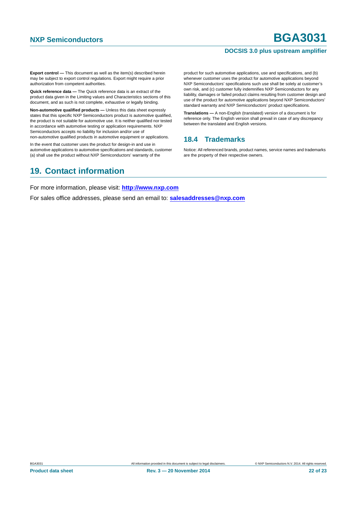**Export control —** This document as well as the item(s) described herein may be subject to export control regulations. Export might require a prior authorization from competent authorities.

**Quick reference data —** The Quick reference data is an extract of the product data given in the Limiting values and Characteristics sections of this document, and as such is not complete, exhaustive or legally binding.

**Non-automotive qualified products —** Unless this data sheet expressly states that this specific NXP Semiconductors product is automotive qualified, the product is not suitable for automotive use. It is neither qualified nor tested in accordance with automotive testing or application requirements. NXP Semiconductors accepts no liability for inclusion and/or use of

non-automotive qualified products in automotive equipment or applications. In the event that customer uses the product for design-in and use in

automotive applications to automotive specifications and standards, customer (a) shall use the product without NXP Semiconductors' warranty of the

product for such automotive applications, use and specifications, and (b) whenever customer uses the product for automotive applications beyond NXP Semiconductors' specifications such use shall be solely at customer's own risk, and (c) customer fully indemnifies NXP Semiconductors for any liability, damages or failed product claims resulting from customer design and use of the product for automotive applications beyond NXP Semiconductors' standard warranty and NXP Semiconductors' product specifications.

**Translations —** A non-English (translated) version of a document is for reference only. The English version shall prevail in case of any discrepancy between the translated and English versions.

### <span id="page-21-0"></span>**18.4 Trademarks**

Notice: All referenced brands, product names, service names and trademarks are the property of their respective owners.

# <span id="page-21-1"></span>**19. Contact information**

For more information, please visit: **http://www.nxp.com**

For sales office addresses, please send an email to: **salesaddresses@nxp.com**